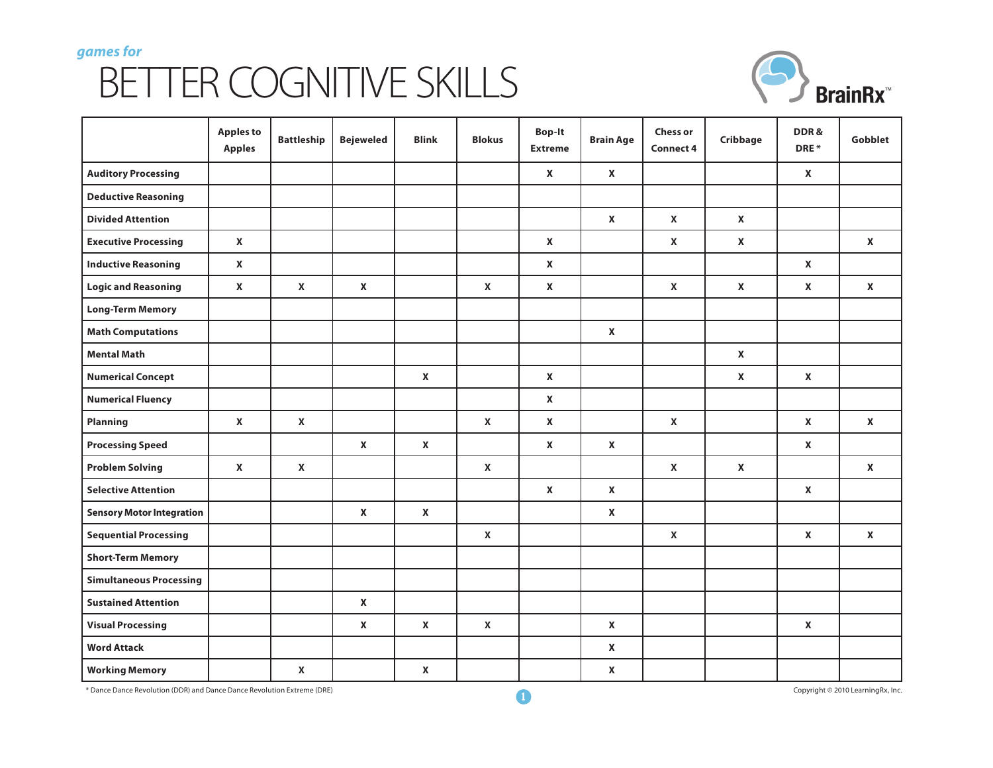## *games for* BETTER COGNITIVE SKILLS



|                                  | <b>Apples to</b><br><b>Apples</b> | <b>Battleship</b>  | <b>Bejeweled</b>   | <b>Blink</b>       | <b>Blokus</b>      | <b>Bop-It</b><br><b>Extreme</b> | <b>Brain Age</b>   | <b>Chess or</b><br><b>Connect 4</b> | Cribbage           | DDR&<br>DRE*       | Gobblet            |
|----------------------------------|-----------------------------------|--------------------|--------------------|--------------------|--------------------|---------------------------------|--------------------|-------------------------------------|--------------------|--------------------|--------------------|
| <b>Auditory Processing</b>       |                                   |                    |                    |                    |                    | $\mathbf{x}$                    | $\mathbf{x}$       |                                     |                    | $\mathbf{x}$       |                    |
| <b>Deductive Reasoning</b>       |                                   |                    |                    |                    |                    |                                 |                    |                                     |                    |                    |                    |
| <b>Divided Attention</b>         |                                   |                    |                    |                    |                    |                                 | $\mathbf{x}$       | $\mathbf{x}$                        | $\pmb{\mathsf{X}}$ |                    |                    |
| <b>Executive Processing</b>      | X                                 |                    |                    |                    |                    | $\pmb{\mathsf{X}}$              |                    | $\mathbf{x}$                        | $\pmb{\mathsf{X}}$ |                    | $\mathbf{x}$       |
| <b>Inductive Reasoning</b>       | X                                 |                    |                    |                    |                    | $\mathbf{x}$                    |                    |                                     |                    | $\mathbf{x}$       |                    |
| <b>Logic and Reasoning</b>       | X                                 | $\mathbf{x}$       | $\pmb{\mathsf{X}}$ |                    | $\pmb{\mathsf{X}}$ | $\pmb{\mathsf{X}}$              |                    | $\mathbf{x}$                        | $\mathbf{x}$       | $\pmb{\mathsf{X}}$ | $\mathbf{x}$       |
| <b>Long-Term Memory</b>          |                                   |                    |                    |                    |                    |                                 |                    |                                     |                    |                    |                    |
| <b>Math Computations</b>         |                                   |                    |                    |                    |                    |                                 | $\pmb{\mathsf{X}}$ |                                     |                    |                    |                    |
| <b>Mental Math</b>               |                                   |                    |                    |                    |                    |                                 |                    |                                     | $\mathbf{x}$       |                    |                    |
| <b>Numerical Concept</b>         |                                   |                    |                    | $\pmb{\mathsf{X}}$ |                    | $\mathbf{x}$                    |                    |                                     | X                  | X                  |                    |
| <b>Numerical Fluency</b>         |                                   |                    |                    |                    |                    | $\mathbf{x}$                    |                    |                                     |                    |                    |                    |
| Planning                         | X                                 | $\mathbf{x}$       |                    |                    | $\pmb{\mathsf{X}}$ | $\mathbf{x}$                    |                    | $\pmb{\mathsf{X}}$                  |                    | $\mathbf{x}$       | $\pmb{\mathsf{X}}$ |
| <b>Processing Speed</b>          |                                   |                    | $\pmb{\mathsf{X}}$ | $\pmb{\mathsf{X}}$ |                    | $\mathbf{x}$                    | $\mathbf{x}$       |                                     |                    | $\mathbf{x}$       |                    |
| <b>Problem Solving</b>           | X                                 | $\mathbf{x}$       |                    |                    | $\pmb{\mathsf{X}}$ |                                 |                    | $\mathbf{x}$                        | $\pmb{\mathsf{X}}$ |                    | $\mathbf{x}$       |
| <b>Selective Attention</b>       |                                   |                    |                    |                    |                    | $\mathbf{x}$                    | $\mathbf{x}$       |                                     |                    | $\mathbf{x}$       |                    |
| <b>Sensory Motor Integration</b> |                                   |                    | $\mathbf{x}$       | $\pmb{\mathsf{X}}$ |                    |                                 | $\mathbf{x}$       |                                     |                    |                    |                    |
| <b>Sequential Processing</b>     |                                   |                    |                    |                    | $\pmb{\mathsf{X}}$ |                                 |                    | $\mathbf{x}$                        |                    | $\mathbf{x}$       | $\mathbf{x}$       |
| <b>Short-Term Memory</b>         |                                   |                    |                    |                    |                    |                                 |                    |                                     |                    |                    |                    |
| <b>Simultaneous Processing</b>   |                                   |                    |                    |                    |                    |                                 |                    |                                     |                    |                    |                    |
| <b>Sustained Attention</b>       |                                   |                    | $\mathbf{x}$       |                    |                    |                                 |                    |                                     |                    |                    |                    |
| <b>Visual Processing</b>         |                                   |                    | $\mathbf{x}$       | $\pmb{\mathsf{X}}$ | $\pmb{\mathsf{X}}$ |                                 | $\mathbf{x}$       |                                     |                    | X                  |                    |
| <b>Word Attack</b>               |                                   |                    |                    |                    |                    |                                 | $\pmb{\mathsf{X}}$ |                                     |                    |                    |                    |
| <b>Working Memory</b>            |                                   | $\pmb{\mathsf{X}}$ |                    | X                  |                    |                                 | $\pmb{\mathsf{X}}$ |                                     |                    |                    |                    |

\* Dance Dance Revolution (DDR) and Dance Dance Revolution Extreme (DRE) **1** Copyright © 2010 LearningRx, Inc.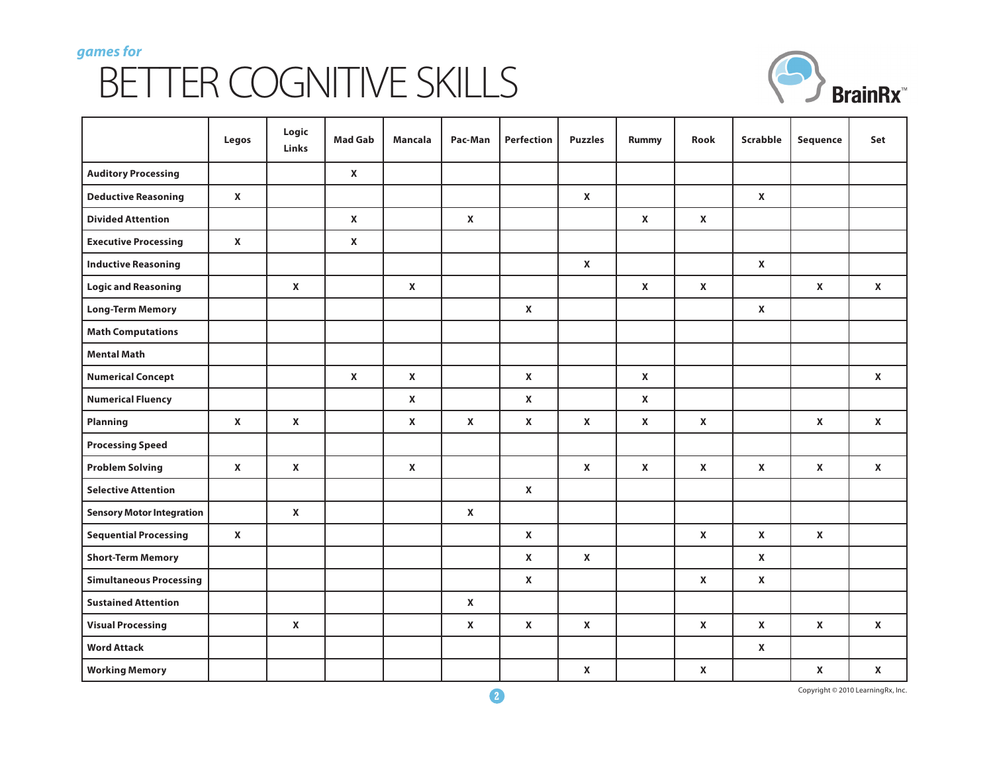## *games for* BETTER COGNITIVE SKILLS



|                                  | Legos              | Logic<br>Links     | <b>Mad Gab</b>     | <b>Mancala</b>     | Pac-Man                   | Perfection         | <b>Puzzles</b>     | Rummy        | Rook               | Scrabble     | Sequence                  | Set                |
|----------------------------------|--------------------|--------------------|--------------------|--------------------|---------------------------|--------------------|--------------------|--------------|--------------------|--------------|---------------------------|--------------------|
| <b>Auditory Processing</b>       |                    |                    | $\pmb{\mathsf{X}}$ |                    |                           |                    |                    |              |                    |              |                           |                    |
| <b>Deductive Reasoning</b>       | $\pmb{\mathsf{X}}$ |                    |                    |                    |                           |                    | $\pmb{\mathsf{X}}$ |              |                    | $\pmb{\chi}$ |                           |                    |
| <b>Divided Attention</b>         |                    |                    | $\mathbf{x}$       |                    | $\pmb{\mathsf{X}}$        |                    |                    | $\mathbf{x}$ | $\pmb{\mathsf{X}}$ |              |                           |                    |
| <b>Executive Processing</b>      | $\mathbf{x}$       |                    | $\pmb{\mathsf{X}}$ |                    |                           |                    |                    |              |                    |              |                           |                    |
| <b>Inductive Reasoning</b>       |                    |                    |                    |                    |                           |                    | $\pmb{\mathsf{X}}$ |              |                    | $\pmb{\chi}$ |                           |                    |
| <b>Logic and Reasoning</b>       |                    | $\pmb{\mathsf{X}}$ |                    | $\mathbf{x}$       |                           |                    |                    | $\mathbf{x}$ | $\pmb{\mathsf{X}}$ |              | $\boldsymbol{\mathsf{x}}$ | $\pmb{\mathsf{X}}$ |
| <b>Long-Term Memory</b>          |                    |                    |                    |                    |                           | $\pmb{\mathsf{X}}$ |                    |              |                    | $\pmb{\chi}$ |                           |                    |
| <b>Math Computations</b>         |                    |                    |                    |                    |                           |                    |                    |              |                    |              |                           |                    |
| <b>Mental Math</b>               |                    |                    |                    |                    |                           |                    |                    |              |                    |              |                           |                    |
| <b>Numerical Concept</b>         |                    |                    | $\mathbf{x}$       | $\mathbf{x}$       |                           | $\pmb{\chi}$       |                    | $\mathbf{x}$ |                    |              |                           | $\mathbf{x}$       |
| <b>Numerical Fluency</b>         |                    |                    |                    | $\mathbf{x}$       |                           | $\mathbf{x}$       |                    | $\mathbf{x}$ |                    |              |                           |                    |
| Planning                         | $\mathbf{x}$       | $\pmb{\mathsf{X}}$ |                    | $\pmb{\mathsf{X}}$ | $\pmb{\mathsf{X}}$        | $\pmb{\mathsf{X}}$ | $\mathbf{x}$       | $\mathbf{x}$ | $\mathbf{x}$       |              | $\mathbf{x}$              | $\pmb{\mathsf{X}}$ |
| <b>Processing Speed</b>          |                    |                    |                    |                    |                           |                    |                    |              |                    |              |                           |                    |
| <b>Problem Solving</b>           | $\mathbf{x}$       | $\pmb{\mathsf{X}}$ |                    | $\mathbf{x}$       |                           |                    | $\pmb{\mathsf{X}}$ | $\mathbf{x}$ | $\mathbf{x}$       | $\pmb{\chi}$ | $\mathbf{x}$              | $\mathbf{x}$       |
| <b>Selective Attention</b>       |                    |                    |                    |                    |                           | $\mathbf{x}$       |                    |              |                    |              |                           |                    |
| <b>Sensory Motor Integration</b> |                    | $\pmb{\mathsf{X}}$ |                    |                    | $\boldsymbol{\mathsf{x}}$ |                    |                    |              |                    |              |                           |                    |
| <b>Sequential Processing</b>     | $\mathbf{x}$       |                    |                    |                    |                           | $\mathbf{x}$       |                    |              | $\mathbf{x}$       | $\pmb{\chi}$ | $\mathbf{x}$              |                    |
| <b>Short-Term Memory</b>         |                    |                    |                    |                    |                           | $\pmb{\chi}$       | $\pmb{\mathsf{X}}$ |              |                    | $\pmb{\chi}$ |                           |                    |
| <b>Simultaneous Processing</b>   |                    |                    |                    |                    |                           | $\mathbf{x}$       |                    |              | $\mathbf{x}$       | $\pmb{\chi}$ |                           |                    |
| <b>Sustained Attention</b>       |                    |                    |                    |                    | $\boldsymbol{\mathsf{x}}$ |                    |                    |              |                    |              |                           |                    |
| <b>Visual Processing</b>         |                    | $\pmb{\mathsf{X}}$ |                    |                    | $\boldsymbol{\mathsf{x}}$ | $\mathbf{x}$       | $\mathbf{x}$       |              | $\mathbf{x}$       | $\pmb{\chi}$ | $\pmb{\mathsf{X}}$        | $\mathbf{x}$       |
| <b>Word Attack</b>               |                    |                    |                    |                    |                           |                    |                    |              |                    | $\pmb{\chi}$ |                           |                    |
| <b>Working Memory</b>            |                    |                    |                    |                    |                           |                    | $\pmb{\mathsf{X}}$ |              | $\pmb{\mathsf{X}}$ |              | $\pmb{\mathsf{X}}$        | $\pmb{\mathsf{X}}$ |

**2** Copyright © 2010 LearningRx, Inc.